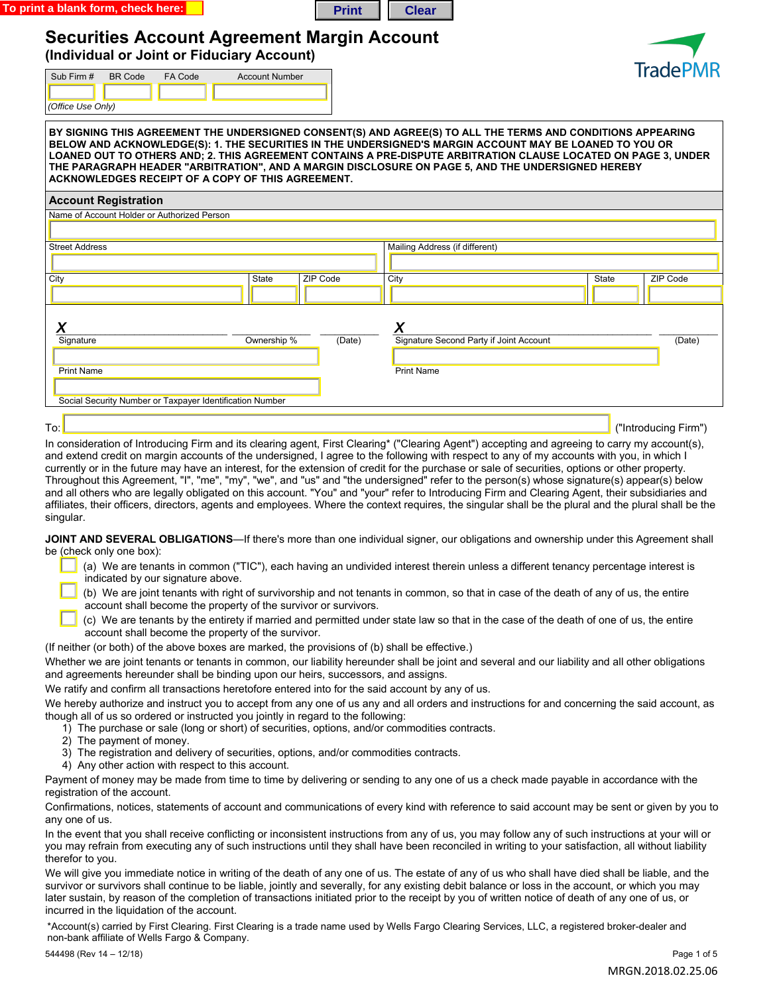



## **Securities Account Agreement Margin Account**

**(Individual or Joint or Fiduciary Account)** 

| (Individual or Joint or Fiduciary Account)                                                                                                                                                                                                                                                                                                                                                                                                                                                                |                       |          | <b>TradePMR</b>                         |       |          |  |
|-----------------------------------------------------------------------------------------------------------------------------------------------------------------------------------------------------------------------------------------------------------------------------------------------------------------------------------------------------------------------------------------------------------------------------------------------------------------------------------------------------------|-----------------------|----------|-----------------------------------------|-------|----------|--|
| <b>BR</b> Code<br>FA Code<br>Sub Firm #<br>(Office Use Only)                                                                                                                                                                                                                                                                                                                                                                                                                                              | <b>Account Number</b> |          |                                         |       |          |  |
| BY SIGNING THIS AGREEMENT THE UNDERSIGNED CONSENT(S) AND AGREE(S) TO ALL THE TERMS AND CONDITIONS APPEARING<br>BELOW AND ACKNOWLEDGE(S): 1. THE SECURITIES IN THE UNDERSIGNED'S MARGIN ACCOUNT MAY BE LOANED TO YOU OR<br>LOANED OUT TO OTHERS AND; 2. THIS AGREEMENT CONTAINS A PRE-DISPUTE ARBITRATION CLAUSE LOCATED ON PAGE 3, UNDER<br>THE PARAGRAPH HEADER "ARBITRATION", AND A MARGIN DISCLOSURE ON PAGE 5, AND THE UNDERSIGNED HEREBY<br><b>ACKNOWLEDGES RECEIPT OF A COPY OF THIS AGREEMENT.</b> |                       |          |                                         |       |          |  |
| <b>Account Registration</b>                                                                                                                                                                                                                                                                                                                                                                                                                                                                               |                       |          |                                         |       |          |  |
| Name of Account Holder or Authorized Person                                                                                                                                                                                                                                                                                                                                                                                                                                                               |                       |          |                                         |       |          |  |
|                                                                                                                                                                                                                                                                                                                                                                                                                                                                                                           |                       |          |                                         |       |          |  |
| <b>Street Address</b>                                                                                                                                                                                                                                                                                                                                                                                                                                                                                     |                       |          | Mailing Address (if different)          |       |          |  |
|                                                                                                                                                                                                                                                                                                                                                                                                                                                                                                           |                       |          |                                         |       |          |  |
| City                                                                                                                                                                                                                                                                                                                                                                                                                                                                                                      | State                 | ZIP Code | City                                    | State | ZIP Code |  |
|                                                                                                                                                                                                                                                                                                                                                                                                                                                                                                           |                       |          |                                         |       |          |  |
|                                                                                                                                                                                                                                                                                                                                                                                                                                                                                                           |                       |          |                                         |       |          |  |
|                                                                                                                                                                                                                                                                                                                                                                                                                                                                                                           |                       |          | X                                       |       |          |  |
| Ā<br>Signature                                                                                                                                                                                                                                                                                                                                                                                                                                                                                            | Ownership %           | (Date)   | Signature Second Party if Joint Account |       | (Date)   |  |
|                                                                                                                                                                                                                                                                                                                                                                                                                                                                                                           |                       |          |                                         |       |          |  |
| <b>Print Name</b>                                                                                                                                                                                                                                                                                                                                                                                                                                                                                         |                       |          | <b>Print Name</b>                       |       |          |  |
|                                                                                                                                                                                                                                                                                                                                                                                                                                                                                                           |                       |          |                                         |       |          |  |

 $\overline{\phantom{a}}$  , and the contract of the contract of the contract of the contract of the contract of the contract of the contract of the contract of the contract of the contract of the contract of the contract of the contrac Social Security Number or Taxpayer Identification Number

To:  $_{\blacksquare}$  ("Introducing Firm")  $_{\blacksquare}$ 

In consideration of Introducing Firm and its clearing agent, First Clearing\* ("Clearing Agent") accepting and agreeing to carry my account(s), and extend credit on margin accounts of the undersigned, I agree to the following with respect to any of my accounts with you, in which I currently or in the future may have an interest, for the extension of credit for the purchase or sale of securities, options or other property. Throughout this Agreement, "I", "me", "my", "we", and "us" and "the undersigned" refer to the person(s) whose signature(s) appear(s) below and all others who are legally obligated on this account. "You" and "your" refer to Introducing Firm and Clearing Agent, their subsidiaries and affiliates, their officers, directors, agents and employees. Where the context requires, the singular shall be the plural and the plural shall be the singular.

**JOINT AND SEVERAL OBLIGATIONS**—If there's more than one individual signer, our obligations and ownership under this Agreement shall be (check only one box):

- (a) We are tenants in common ("TIC"), each having an undivided interest therein unless a different tenancy percentage interest is indicated by our signature above.
- (b) We are joint tenants with right of survivorship and not tenants in common, so that in case of the death of any of us, the entire account shall become the property of the survivor or survivors.
- (c) We are tenants by the entirety if married and permitted under state law so that in the case of the death of one of us, the entire account shall become the property of the survivor.

(If neither (or both) of the above boxes are marked, the provisions of (b) shall be effective.)

Whether we are joint tenants or tenants in common, our liability hereunder shall be joint and several and our liability and all other obligations and agreements hereunder shall be binding upon our heirs, successors, and assigns.

We ratify and confirm all transactions heretofore entered into for the said account by any of us.

We hereby authorize and instruct you to accept from any one of us any and all orders and instructions for and concerning the said account, as though all of us so ordered or instructed you jointly in regard to the following:

- 1) The purchase or sale (long or short) of securities, options, and/or commodities contracts.
- 2) The payment of money.
- 3) The registration and delivery of securities, options, and/or commodities contracts.
- 4) Any other action with respect to this account.

Payment of money may be made from time to time by delivering or sending to any one of us a check made payable in accordance with the registration of the account.

Confirmations, notices, statements of account and communications of every kind with reference to said account may be sent or given by you to any one of us.

In the event that you shall receive conflicting or inconsistent instructions from any of us, you may follow any of such instructions at your will or you may refrain from executing any of such instructions until they shall have been reconciled in writing to your satisfaction, all without liability therefor to you.

We will give you immediate notice in writing of the death of any one of us. The estate of any of us who shall have died shall be liable, and the survivor or survivors shall continue to be liable, jointly and severally, for any existing debit balance or loss in the account, or which you may later sustain, by reason of the completion of transactions initiated prior to the receipt by you of written notice of death of any one of us, or incurred in the liquidation of the account.

\*Account(s) carried by First Clearing. First Clearing is a trade name used by Wells Fargo Clearing Services, LLC, a registered broker-dealer and non-bank affiliate of Wells Fargo & Company.

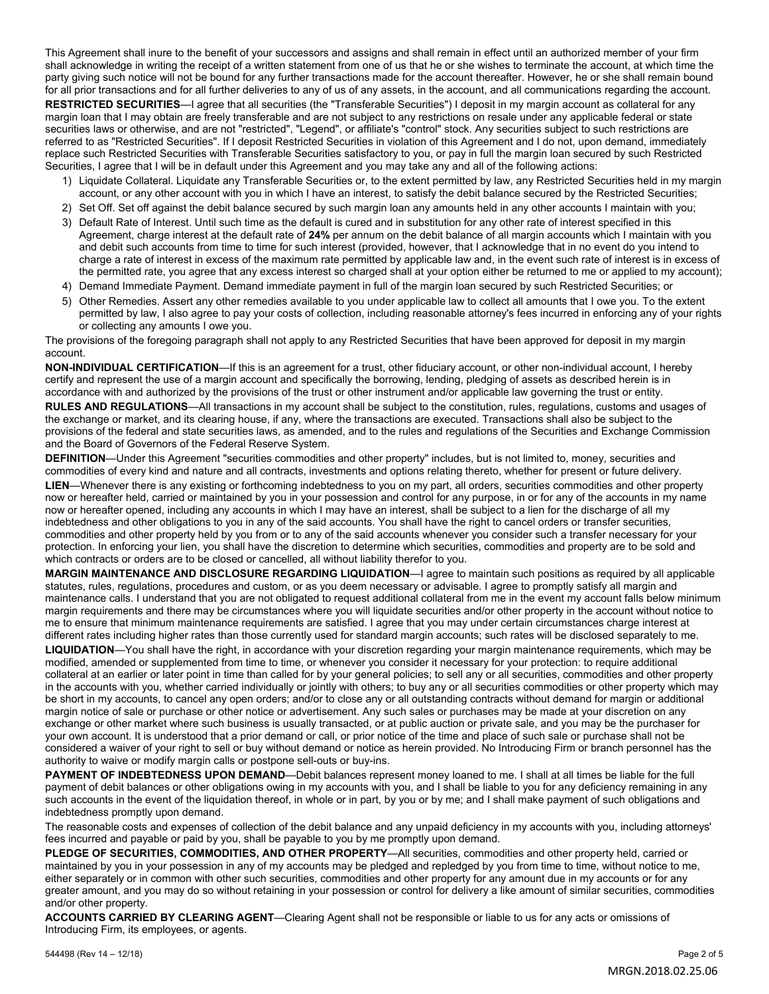This Agreement shall inure to the benefit of your successors and assigns and shall remain in effect until an authorized member of your firm shall acknowledge in writing the receipt of a written statement from one of us that he or she wishes to terminate the account, at which time the party giving such notice will not be bound for any further transactions made for the account thereafter. However, he or she shall remain bound for all prior transactions and for all further deliveries to any of us of any assets, in the account, and all communications regarding the account. **RESTRICTED SECURITIES**—I agree that all securities (the "Transferable Securities") I deposit in my margin account as collateral for any margin loan that I may obtain are freely transferable and are not subject to any restrictions on resale under any applicable federal or state securities laws or otherwise, and are not "restricted", "Legend", or affiliate's "control" stock. Any securities subject to such restrictions are referred to as "Restricted Securities". If I deposit Restricted Securities in violation of this Agreement and I do not, upon demand, immediately replace such Restricted Securities with Transferable Securities satisfactory to you, or pay in full the margin loan secured by such Restricted Securities, I agree that I will be in default under this Agreement and you may take any and all of the following actions:

- 1) Liquidate Collateral. Liquidate any Transferable Securities or, to the extent permitted by law, any Restricted Securities held in my margin account, or any other account with you in which I have an interest, to satisfy the debit balance secured by the Restricted Securities;
- 2) Set Off. Set off against the debit balance secured by such margin loan any amounts held in any other accounts I maintain with you;
- 3) Default Rate of Interest. Until such time as the default is cured and in substitution for any other rate of interest specified in this Agreement, charge interest at the default rate of **24%** per annum on the debit balance of all margin accounts which I maintain with you and debit such accounts from time to time for such interest (provided, however, that I acknowledge that in no event do you intend to charge a rate of interest in excess of the maximum rate permitted by applicable law and, in the event such rate of interest is in excess of the permitted rate, you agree that any excess interest so charged shall at your option either be returned to me or applied to my account);
- 4) Demand Immediate Payment. Demand immediate payment in full of the margin loan secured by such Restricted Securities; or
- 5) Other Remedies. Assert any other remedies available to you under applicable law to collect all amounts that I owe you. To the extent permitted by law, I also agree to pay your costs of collection, including reasonable attorney's fees incurred in enforcing any of your rights or collecting any amounts I owe you.

The provisions of the foregoing paragraph shall not apply to any Restricted Securities that have been approved for deposit in my margin account.

**NON-INDIVIDUAL CERTIFICATION**—If this is an agreement for a trust, other fiduciary account, or other non-individual account, I hereby certify and represent the use of a margin account and specifically the borrowing, lending, pledging of assets as described herein is in accordance with and authorized by the provisions of the trust or other instrument and/or applicable law governing the trust or entity. **RULES AND REGULATIONS**—All transactions in my account shall be subject to the constitution, rules, regulations, customs and usages of the exchange or market, and its clearing house, if any, where the transactions are executed. Transactions shall also be subject to the provisions of the federal and state securities laws, as amended, and to the rules and regulations of the Securities and Exchange Commission and the Board of Governors of the Federal Reserve System.

**DEFINITION**—Under this Agreement "securities commodities and other property" includes, but is not limited to, money, securities and commodities of every kind and nature and all contracts, investments and options relating thereto, whether for present or future delivery.

**LIEN**—Whenever there is any existing or forthcoming indebtedness to you on my part, all orders, securities commodities and other property now or hereafter held, carried or maintained by you in your possession and control for any purpose, in or for any of the accounts in my name now or hereafter opened, including any accounts in which I may have an interest, shall be subject to a lien for the discharge of all my indebtedness and other obligations to you in any of the said accounts. You shall have the right to cancel orders or transfer securities, commodities and other property held by you from or to any of the said accounts whenever you consider such a transfer necessary for your protection. In enforcing your lien, you shall have the discretion to determine which securities, commodities and property are to be sold and which contracts or orders are to be closed or cancelled, all without liability therefor to you.

**MARGIN MAINTENANCE AND DISCLOSURE REGARDING LIQUIDATION**—I agree to maintain such positions as required by all applicable statutes, rules, regulations, procedures and custom, or as you deem necessary or advisable. I agree to promptly satisfy all margin and maintenance calls. I understand that you are not obligated to request additional collateral from me in the event my account falls below minimum margin requirements and there may be circumstances where you will liquidate securities and/or other property in the account without notice to me to ensure that minimum maintenance requirements are satisfied. I agree that you may under certain circumstances charge interest at different rates including higher rates than those currently used for standard margin accounts; such rates will be disclosed separately to me.

**LIQUIDATION**—You shall have the right, in accordance with your discretion regarding your margin maintenance requirements, which may be modified, amended or supplemented from time to time, or whenever you consider it necessary for your protection: to require additional collateral at an earlier or later point in time than called for by your general policies; to sell any or all securities, commodities and other property in the accounts with you, whether carried individually or jointly with others; to buy any or all securities commodities or other property which may be short in my accounts, to cancel any open orders; and/or to close any or all outstanding contracts without demand for margin or additional margin notice of sale or purchase or other notice or advertisement. Any such sales or purchases may be made at your discretion on any exchange or other market where such business is usually transacted, or at public auction or private sale, and you may be the purchaser for your own account. It is understood that a prior demand or call, or prior notice of the time and place of such sale or purchase shall not be considered a waiver of your right to sell or buy without demand or notice as herein provided. No Introducing Firm or branch personnel has the authority to waive or modify margin calls or postpone sell-outs or buy-ins.

**PAYMENT OF INDEBTEDNESS UPON DEMAND**—Debit balances represent money loaned to me. I shall at all times be liable for the full payment of debit balances or other obligations owing in my accounts with you, and I shall be liable to you for any deficiency remaining in any such accounts in the event of the liquidation thereof, in whole or in part, by you or by me; and I shall make payment of such obligations and indebtedness promptly upon demand.

The reasonable costs and expenses of collection of the debit balance and any unpaid deficiency in my accounts with you, including attorneys' fees incurred and payable or paid by you, shall be payable to you by me promptly upon demand.

**PLEDGE OF SECURITIES, COMMODITIES, AND OTHER PROPERTY**—All securities, commodities and other property held, carried or maintained by you in your possession in any of my accounts may be pledged and repledged by you from time to time, without notice to me, either separately or in common with other such securities, commodities and other property for any amount due in my accounts or for any greater amount, and you may do so without retaining in your possession or control for delivery a like amount of similar securities, commodities and/or other property.

**ACCOUNTS CARRIED BY CLEARING AGENT**—Clearing Agent shall not be responsible or liable to us for any acts or omissions of Introducing Firm, its employees, or agents.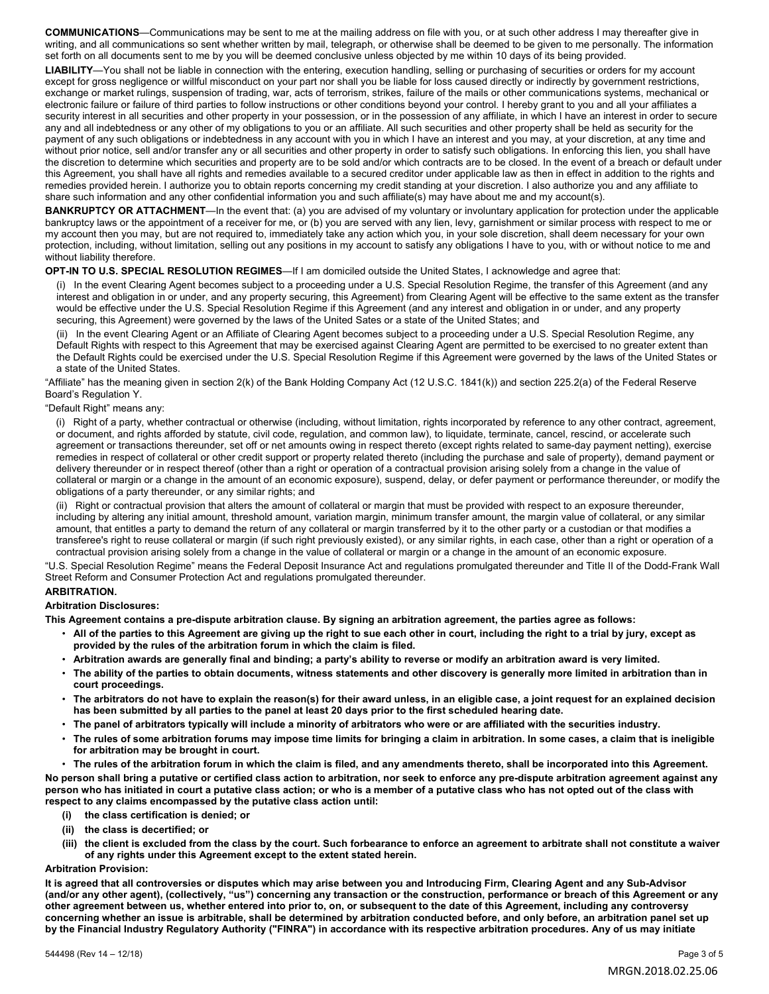**COMMUNICATIONS**—Communications may be sent to me at the mailing address on file with you, or at such other address I may thereafter give in writing, and all communications so sent whether written by mail, telegraph, or otherwise shall be deemed to be given to me personally. The information set forth on all documents sent to me by you will be deemed conclusive unless objected by me within 10 days of its being provided.

**LIABILITY**—You shall not be liable in connection with the entering, execution handling, selling or purchasing of securities or orders for my account except for gross negligence or willful misconduct on your part nor shall you be liable for loss caused directly or indirectly by government restrictions, exchange or market rulings, suspension of trading, war, acts of terrorism, strikes, failure of the mails or other communications systems, mechanical or electronic failure or failure of third parties to follow instructions or other conditions beyond your control. I hereby grant to you and all your affiliates a security interest in all securities and other property in your possession, or in the possession of any affiliate, in which I have an interest in order to secure any and all indebtedness or any other of my obligations to you or an affiliate. All such securities and other property shall be held as security for the payment of any such obligations or indebtedness in any account with you in which I have an interest and you may, at your discretion, at any time and without prior notice, sell and/or transfer any or all securities and other property in order to satisfy such obligations. In enforcing this lien, you shall have the discretion to determine which securities and property are to be sold and/or which contracts are to be closed. In the event of a breach or default under this Agreement, you shall have all rights and remedies available to a secured creditor under applicable law as then in effect in addition to the rights and remedies provided herein. I authorize you to obtain reports concerning my credit standing at your discretion. I also authorize you and any affiliate to share such information and any other confidential information you and such affiliate(s) may have about me and my account(s).

**BANKRUPTCY OR ATTACHMENT**—In the event that: (a) you are advised of my voluntary or involuntary application for protection under the applicable bankruptcy laws or the appointment of a receiver for me, or (b) you are served with any lien, levy, garnishment or similar process with respect to me or my account then you may, but are not required to, immediately take any action which you, in your sole discretion, shall deem necessary for your own protection, including, without limitation, selling out any positions in my account to satisfy any obligations I have to you, with or without notice to me and without liability therefore.

#### **OPT-IN TO U.S. SPECIAL RESOLUTION REGIMES**—If I am domiciled outside the United States, I acknowledge and agree that:

(i) In the event Clearing Agent becomes subject to a proceeding under a U.S. Special Resolution Regime, the transfer of this Agreement (and any interest and obligation in or under, and any property securing, this Agreement) from Clearing Agent will be effective to the same extent as the transfer would be effective under the U.S. Special Resolution Regime if this Agreement (and any interest and obligation in or under, and any property securing, this Agreement) were governed by the laws of the United Sates or a state of the United States; and

(ii) In the event Clearing Agent or an Affiliate of Clearing Agent becomes subject to a proceeding under a U.S. Special Resolution Regime, any Default Rights with respect to this Agreement that may be exercised against Clearing Agent are permitted to be exercised to no greater extent than the Default Rights could be exercised under the U.S. Special Resolution Regime if this Agreement were governed by the laws of the United States or a state of the United States.

"Affiliate" has the meaning given in section 2(k) of the Bank Holding Company Act (12 U.S.C. 1841(k)) and section 225.2(a) of the Federal Reserve Board's Regulation Y.

#### "Default Right" means any:

(i) Right of a party, whether contractual or otherwise (including, without limitation, rights incorporated by reference to any other contract, agreement, or document, and rights afforded by statute, civil code, regulation, and common law), to liquidate, terminate, cancel, rescind, or accelerate such agreement or transactions thereunder, set off or net amounts owing in respect thereto (except rights related to same-day payment netting), exercise remedies in respect of collateral or other credit support or property related thereto (including the purchase and sale of property), demand payment or delivery thereunder or in respect thereof (other than a right or operation of a contractual provision arising solely from a change in the value of collateral or margin or a change in the amount of an economic exposure), suspend, delay, or defer payment or performance thereunder, or modify the obligations of a party thereunder, or any similar rights; and

(ii) Right or contractual provision that alters the amount of collateral or margin that must be provided with respect to an exposure thereunder, including by altering any initial amount, threshold amount, variation margin, minimum transfer amount, the margin value of collateral, or any similar amount, that entitles a party to demand the return of any collateral or margin transferred by it to the other party or a custodian or that modifies a transferee's right to reuse collateral or margin (if such right previously existed), or any similar rights, in each case, other than a right or operation of a contractual provision arising solely from a change in the value of collateral or margin or a change in the amount of an economic exposure.

"U.S. Special Resolution Regime" means the Federal Deposit Insurance Act and regulations promulgated thereunder and Title II of the Dodd-Frank Wall Street Reform and Consumer Protection Act and regulations promulgated thereunder.

#### **ARBITRATION.**

#### **Arbitration Disclosures:**

**This Agreement contains a pre-dispute arbitration clause. By signing an arbitration agreement, the parties agree as follows:** 

- **All of the parties to this Agreement are giving up the right to sue each other in court, including the right to a trial by jury, except as provided by the rules of the arbitration forum in which the claim is filed.**
- **Arbitration awards are generally final and binding; a party's ability to reverse or modify an arbitration award is very limited.**
- **The ability of the parties to obtain documents, witness statements and other discovery is generally more limited in arbitration than in court proceedings.**
- **The arbitrators do not have to explain the reason(s) for their award unless, in an eligible case, a joint request for an explained decision has been submitted by all parties to the panel at least 20 days prior to the first scheduled hearing date.**
- **The panel of arbitrators typically will include a minority of arbitrators who were or are affiliated with the securities industry.**
- **The rules of some arbitration forums may impose time limits for bringing a claim in arbitration. In some cases, a claim that is ineligible for arbitration may be brought in court.**
- **The rules of the arbitration forum in which the claim is filed, and any amendments thereto, shall be incorporated into this Agreement. No person shall bring a putative or certified class action to arbitration, nor seek to enforce any pre-dispute arbitration agreement against any person who has initiated in court a putative class action; or who is a member of a putative class who has not opted out of the class with respect to any claims encompassed by the putative class action until:** 
	- **(i) the class certification is denied; or**
	- **(ii) the class is decertified; or**
	- **(iii) the client is excluded from the class by the court. Such forbearance to enforce an agreement to arbitrate shall not constitute a waiver of any rights under this Agreement except to the extent stated herein.**

#### **Arbitration Provision:**

**It is agreed that all controversies or disputes which may arise between you and Introducing Firm, Clearing Agent and any Sub-Advisor (and/or any other agent), (collectively, "us") concerning any transaction or the construction, performance or breach of this Agreement or any other agreement between us, whether entered into prior to, on, or subsequent to the date of this Agreement, including any controversy concerning whether an issue is arbitrable, shall be determined by arbitration conducted before, and only before, an arbitration panel set up by the Financial Industry Regulatory Authority ("FINRA") in accordance with its respective arbitration procedures. Any of us may initiate**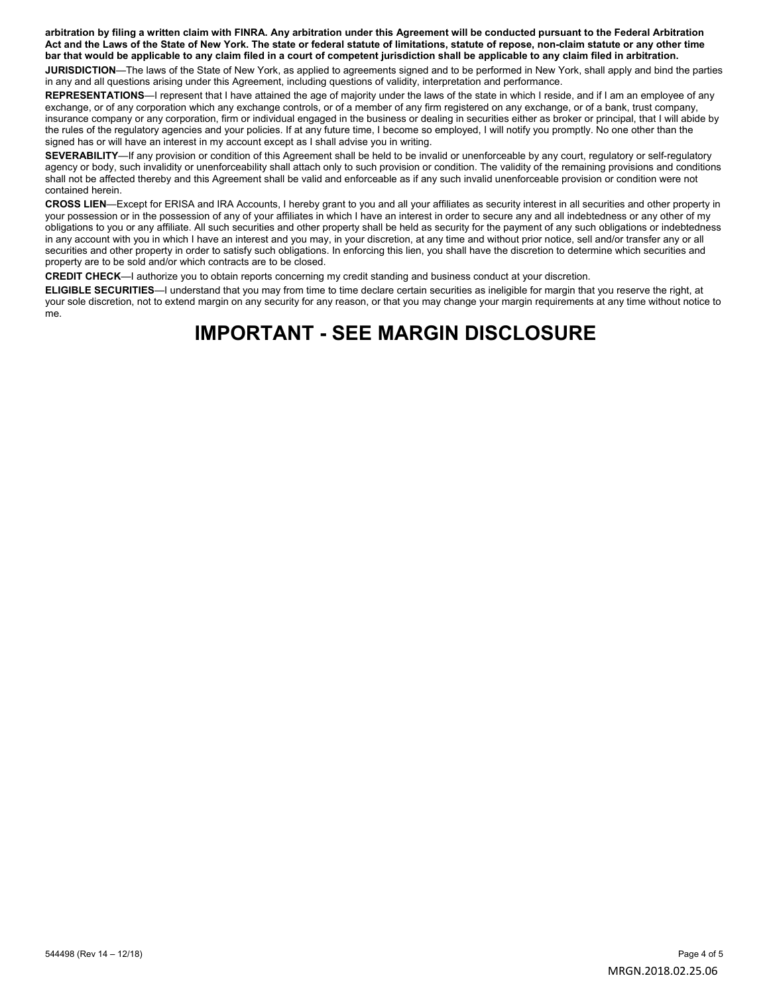**arbitration by filing a written claim with FINRA. Any arbitration under this Agreement will be conducted pursuant to the Federal Arbitration Act and the Laws of the State of New York. The state or federal statute of limitations, statute of repose, non-claim statute or any other time bar that would be applicable to any claim filed in a court of competent jurisdiction shall be applicable to any claim filed in arbitration.** 

**JURISDICTION**—The laws of the State of New York, as applied to agreements signed and to be performed in New York, shall apply and bind the parties in any and all questions arising under this Agreement, including questions of validity, interpretation and performance.

REPRESENTATIONS—I represent that I have attained the age of majority under the laws of the state in which I reside, and if I am an employee of any exchange, or of any corporation which any exchange controls, or of a member of any firm registered on any exchange, or of a bank, trust company, insurance company or any corporation, firm or individual engaged in the business or dealing in securities either as broker or principal, that I will abide by the rules of the regulatory agencies and your policies. If at any future time, I become so employed, I will notify you promptly. No one other than the signed has or will have an interest in my account except as I shall advise you in writing.

**SEVERABILITY**—If any provision or condition of this Agreement shall be held to be invalid or unenforceable by any court, regulatory or self-regulatory agency or body, such invalidity or unenforceability shall attach only to such provision or condition. The validity of the remaining provisions and conditions shall not be affected thereby and this Agreement shall be valid and enforceable as if any such invalid unenforceable provision or condition were not contained herein.

**CROSS LIEN**—Except for ERISA and IRA Accounts, I hereby grant to you and all your affiliates as security interest in all securities and other property in your possession or in the possession of any of your affiliates in which I have an interest in order to secure any and all indebtedness or any other of my obligations to you or any affiliate. All such securities and other property shall be held as security for the payment of any such obligations or indebtedness in any account with you in which I have an interest and you may, in your discretion, at any time and without prior notice, sell and/or transfer any or all securities and other property in order to satisfy such obligations. In enforcing this lien, you shall have the discretion to determine which securities and property are to be sold and/or which contracts are to be closed.

**CREDIT CHECK**—I authorize you to obtain reports concerning my credit standing and business conduct at your discretion.

**ELIGIBLE SECURITIES**—I understand that you may from time to time declare certain securities as ineligible for margin that you reserve the right, at your sole discretion, not to extend margin on any security for any reason, or that you may change your margin requirements at any time without notice to me.

# **IMPORTANT - SEE MARGIN DISCLOSURE**